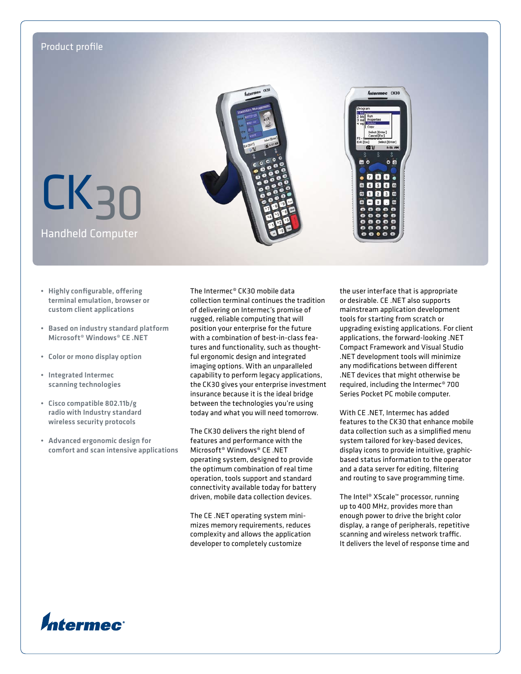

- Highly configurable, offering terminal emulation, browser or custom client applications
- Based on industry standard platform Microsoft® Windows® CE .NET
- Color or mono display option
- Integrated Intermec scanning technologies
- Cisco compatible 802.11b/g radio with Industry standard wireless security protocols
- Advanced ergonomic design for comfort and scan intensive applications

The Intermec® CK30 mobile data collection terminal continues the tradition of delivering on Intermec's promise of rugged, reliable computing that will position your enterprise for the future with a combination of best-in-class features and functionality, such as thoughtful ergonomic design and integrated imaging options. With an unparalleled capability to perform legacy applications, the CK30 gives your enterprise investment insurance because it is the ideal bridge between the technologies you're using today and what you will need tomorrow.

The CK30 delivers the right blend of features and performance with the Microsoft® Windows® CE .NET operating system, designed to provide the optimum combination of real time operation, tools support and standard connectivity available today for battery driven, mobile data collection devices.

The CE .NET operating system minimizes memory requirements, reduces complexity and allows the application developer to completely customize

the user interface that is appropriate or desirable. CE .NET also supports mainstream application development tools for starting from scratch or upgrading existing applications. For client applications, the forward-looking .NET Compact Framework and Visual Studio .NET development tools will minimize any modifications between different .NET devices that might otherwise be required, including the Intermec® 700 Series Pocket PC mobile computer.

With CE .NET, Intermec has added features to the CK30 that enhance mobile data collection such as a simplified menu system tailored for key-based devices, display icons to provide intuitive, graphicbased status information to the operator and a data server for editing, filtering and routing to save programming time.

The Intel® XScale™ processor, running up to 400 MHz, provides more than enough power to drive the bright color display, a range of peripherals, repetitive scanning and wireless network traffic. It delivers the level of response time and

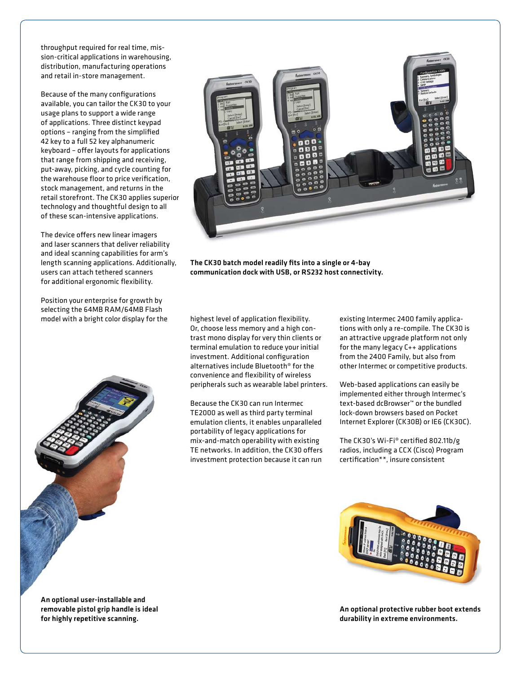throughput required for real time, mission-critical applications in warehousing, distribution, manufacturing operations and retail in-store management.

Because of the many configurations available, you can tailor the CK30 to your usage plans to support a wide range of applications. Three distinct keypad options – ranging from the simplified 42 key to a full 52 key alphanumeric keyboard – offer layouts for applications that range from shipping and receiving, put-away, picking, and cycle counting for the warehouse floor to price verification, stock management, and returns in the retail storefront. The CK30 applies superior technology and thoughtful design to all of these scan-intensive applications.

The device offers new linear imagers and laser scanners that deliver reliability and ideal scanning capabilities for arm's length scanning applications. Additionally, users can attach tethered scanners for additional ergonomic flexibility.

Position your enterprise for growth by selecting the 64MB RAM/64MB Flash model with a bright color display for the highest level of application flexibility.





The CK30 batch model readily fits into a single or 4-bay communication dock with USB, or RS232 host connectivity.

Or, choose less memory and a high contrast mono display for very thin clients or terminal emulation to reduce your initial investment. Additional configuration alternatives include Bluetooth® for the convenience and flexibility of wireless peripherals such as wearable label printers.

Because the CK30 can run Intermec TE2000 as well as third party terminal emulation clients, it enables unparalleled portability of legacy applications for mix-and-match operability with existing TE networks. In addition, the CK30 offers investment protection because it can run

existing Intermec 2400 family applications with only a re-compile. The CK30 is an attractive upgrade platform not only for the many legacy C++ applications from the 2400 Family, but also from other Intermec or competitive products.

Web-based applications can easily be implemented either through Intermec's text-based dcBrowser™ or the bundled lock-down browsers based on Pocket Internet Explorer (CK30B) or IE6 (CK30C).

The CK30's Wi-Fi® certified 802.11b/g radios, including a CCX (Cisco) Program certification\*\*, insure consistent



An optional protective rubber boot extends durability in extreme environments.

An optional user-installable and removable pistol grip handle is ideal for highly repetitive scanning.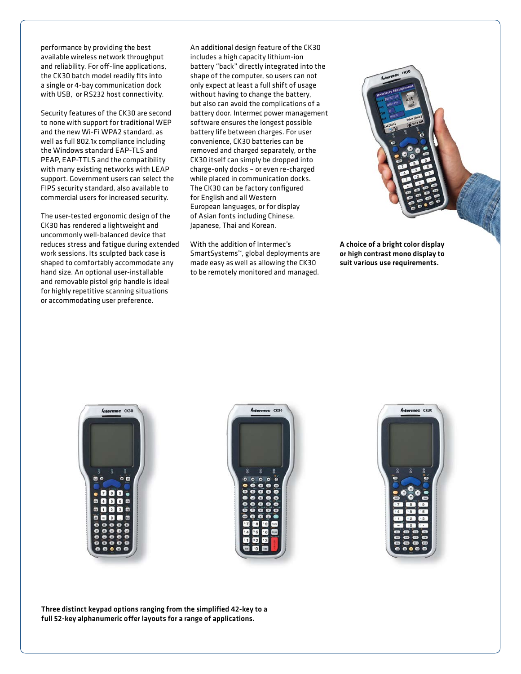performance by providing the best available wireless network throughput and reliability. For off-line applications, the CK30 batch model readily fits into a single or 4-bay communication dock with USB, or RS232 host connectivity.

Security features of the CK30 are second to none with support for traditional WEP and the new Wi-Fi WPA2 standard, as well as full 802.1x compliance including the Windows standard EAP-TLS and PEAP, EAP-TTLS and the compatibility with many existing networks with LEAP support. Government users can select the FIPS security standard, also available to commercial users for increased security.

The user-tested ergonomic design of the CK30 has rendered a lightweight and uncommonly well-balanced device that reduces stress and fatigue during extended work sessions. Its sculpted back case is shaped to comfortably accommodate any hand size. An optional user-installable and removable pistol grip handle is ideal for highly repetitive scanning situations or accommodating user preference.

An additional design feature of the CK30 includes a high capacity lithium-ion battery "back" directly integrated into the shape of the computer, so users can not only expect at least a full shift of usage without having to change the battery, but also can avoid the complications of a battery door. Intermec power management software ensures the longest possible battery life between charges. For user convenience, CK30 batteries can be removed and charged separately, or the CK30 itself can simply be dropped into charge-only docks – or even re-charged while placed in communication docks. The CK30 can be factory configured for English and all Western European languages, or for display of Asian fonts including Chinese, Japanese, Thai and Korean.

With the addition of Intermec's SmartSystems™, global deployments are made easy as well as allowing the CK30 to be remotely monitored and managed.



A choice of a bright color display or high contrast mono display to suit various use requirements.

Antermec CK30





Three distinct keypad options ranging from the simplified 42-key to a full 52-key alphanumeric offer layouts for a range of applications.